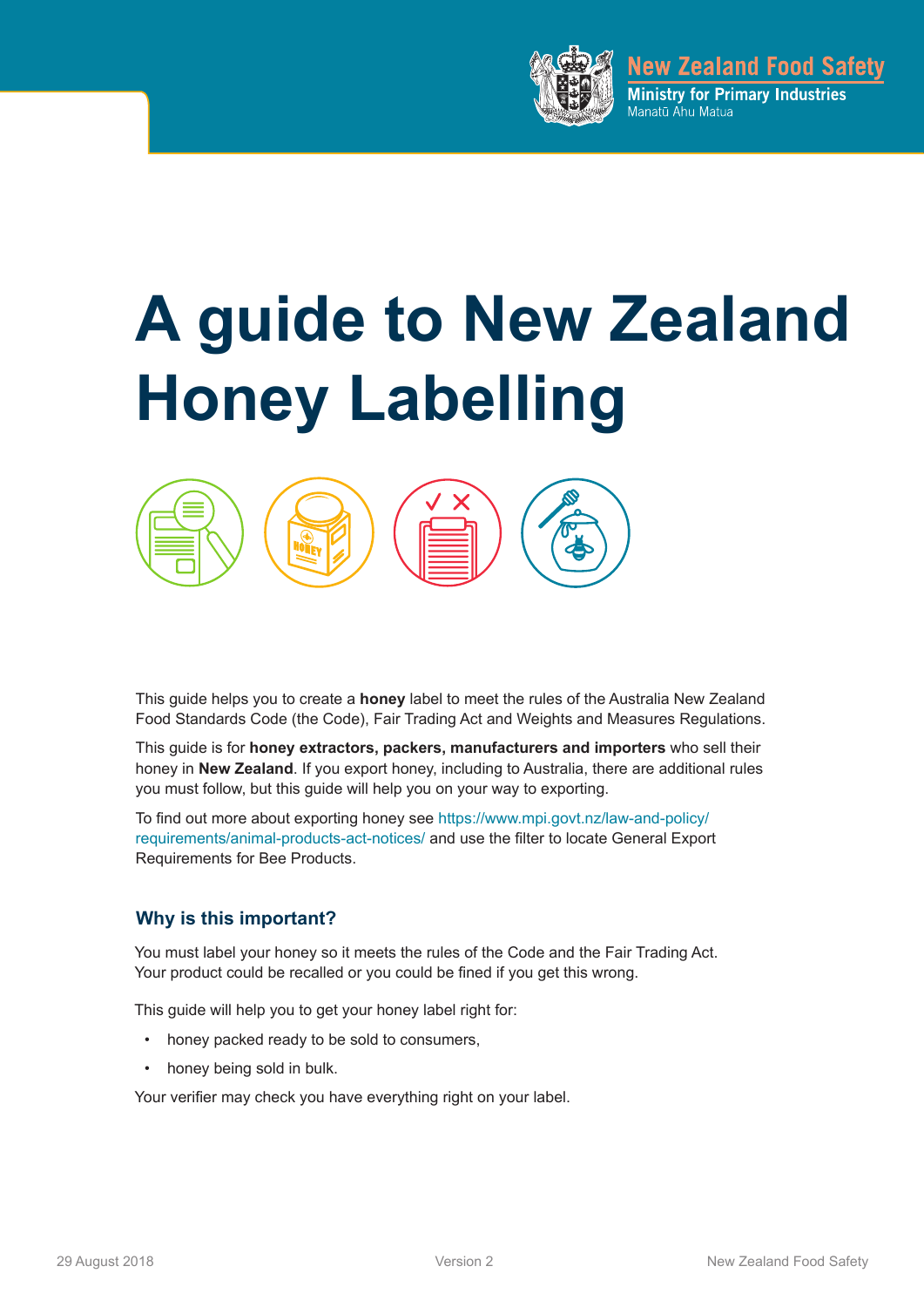

**New Zealand Food Safety** Ministry for Primary Industries Manatū Ahu Matua

# **A guide to New Zealand Honey Labelling**



This guide helps you to create a **honey** label to meet the rules of the Australia New Zealand Food Standards Code (the Code), Fair Trading Act and Weights and Measures Regulations.

This guide is for **honey extractors, packers, manufacturers and importers** who sell their honey in **New Zealand**. If you export honey, including to Australia, there are additional rules you must follow, but this guide will help you on your way to exporting.

To find out more about exporting honey see https://www.mpi.govt.nz/law-and-policy/ requirements/animal-products-act-notices/ and use the filter to locate General Export Requirements for Bee Products.

#### **Why is this important?**

You must label your honey so it meets the rules of the Code and the Fair Trading Act. Your product could be recalled or you could be fined if you get this wrong.

This guide will help you to get your honey label right for:

- honey packed ready to be sold to consumers,
- honey being sold in bulk.

Your verifier may check you have everything right on your label.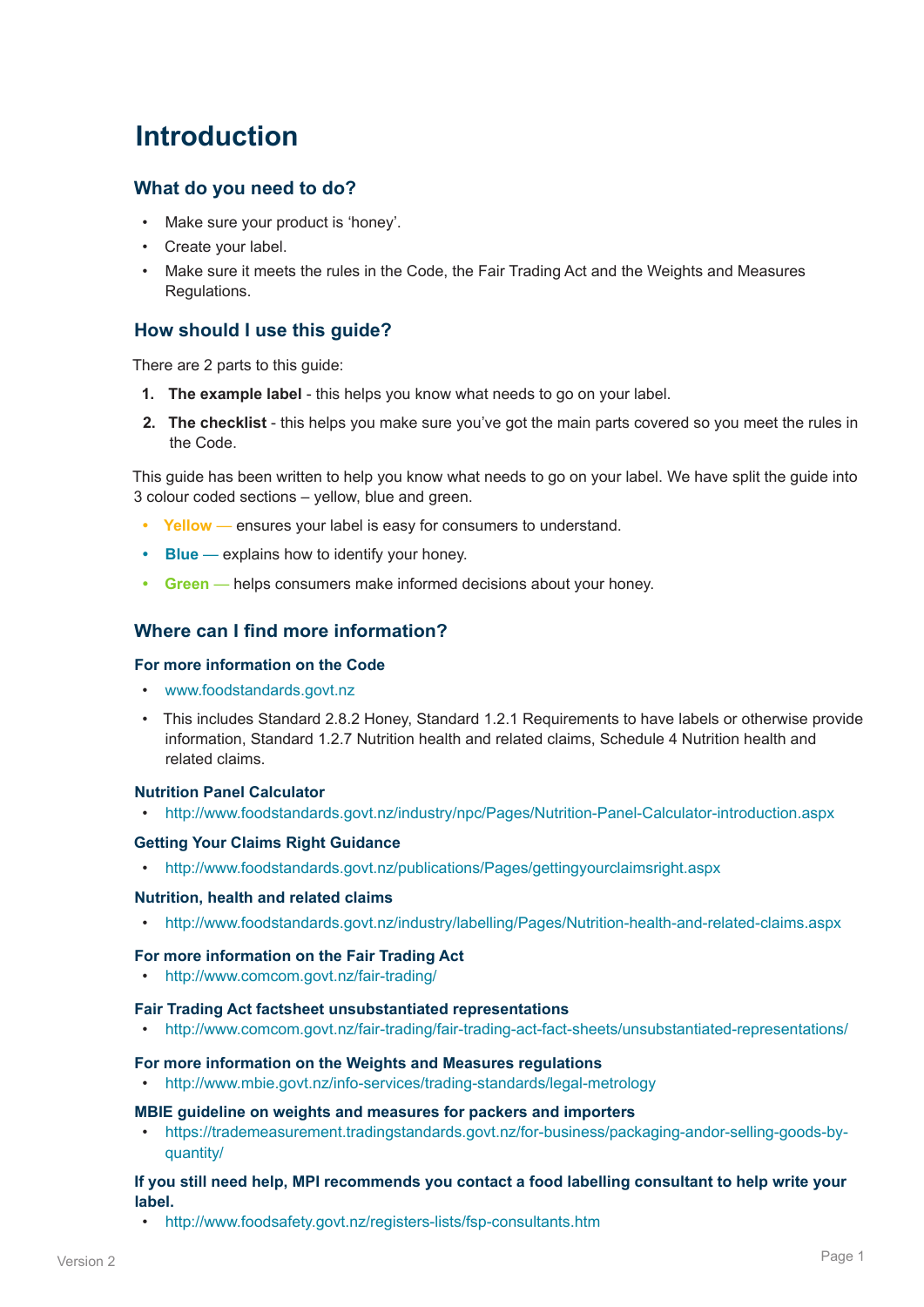### **Introduction**

#### **What do you need to do?**

- Make sure your product is 'honey'.
- Create your label.
- Make sure it meets the rules in the Code, the Fair Trading Act and the Weights and Measures Regulations.

#### **How should I use this guide?**

There are 2 parts to this guide:

- **1. The example label**  this helps you know what needs to go on your label.
- **2. The checklist**  this helps you make sure you've got the main parts covered so you meet the rules in the Code.

This guide has been written to help you know what needs to go on your label. We have split the guide into 3 colour coded sections – yellow, blue and green.

- **• Yellow** ensures your label is easy for consumers to understand.
- **• Blue** explains how to identify your honey.
- **• Green** helps consumers make informed decisions about your honey.

#### **Where can I find more information?**

#### **For more information on the Code**

- www.foodstandards.govt.nz
- This includes Standard 2.8.2 Honey, Standard 1.2.1 Requirements to have labels or otherwise provide information, Standard 1.2.7 Nutrition health and related claims, Schedule 4 Nutrition health and related claims.

#### **Nutrition Panel Calculator**

• http://www.foodstandards.govt.nz/industry/npc/Pages/Nutrition-Panel-Calculator-introduction.aspx

#### **Getting Your Claims Right Guidance**

• http://www.foodstandards.govt.nz/publications/Pages/gettingyourclaimsright.aspx

#### **Nutrition, health and related claims**

• http://www.foodstandards.govt.nz/industry/labelling/Pages/Nutrition-health-and-related-claims.aspx

#### **For more information on the Fair Trading Act**

• http://www.comcom.govt.nz/fair-trading/

#### **Fair Trading Act factsheet unsubstantiated representations**

• http://www.comcom.govt.nz/fair-trading/fair-trading-act-fact-sheets/unsubstantiated-representations/

#### **For more information on the Weights and Measures regulations**

• http://www.mbie.govt.nz/info-services/trading-standards/legal-metrology

#### **MBIE guideline on weights and measures for packers and importers**

• https://trademeasurement.tradingstandards.govt.nz/for-business/packaging-andor-selling-goods-byquantity/

#### **If you still need help, MPI recommends you contact a food labelling consultant to help write your label.**

• http://www.foodsafety.govt.nz/registers-lists/fsp-consultants.htm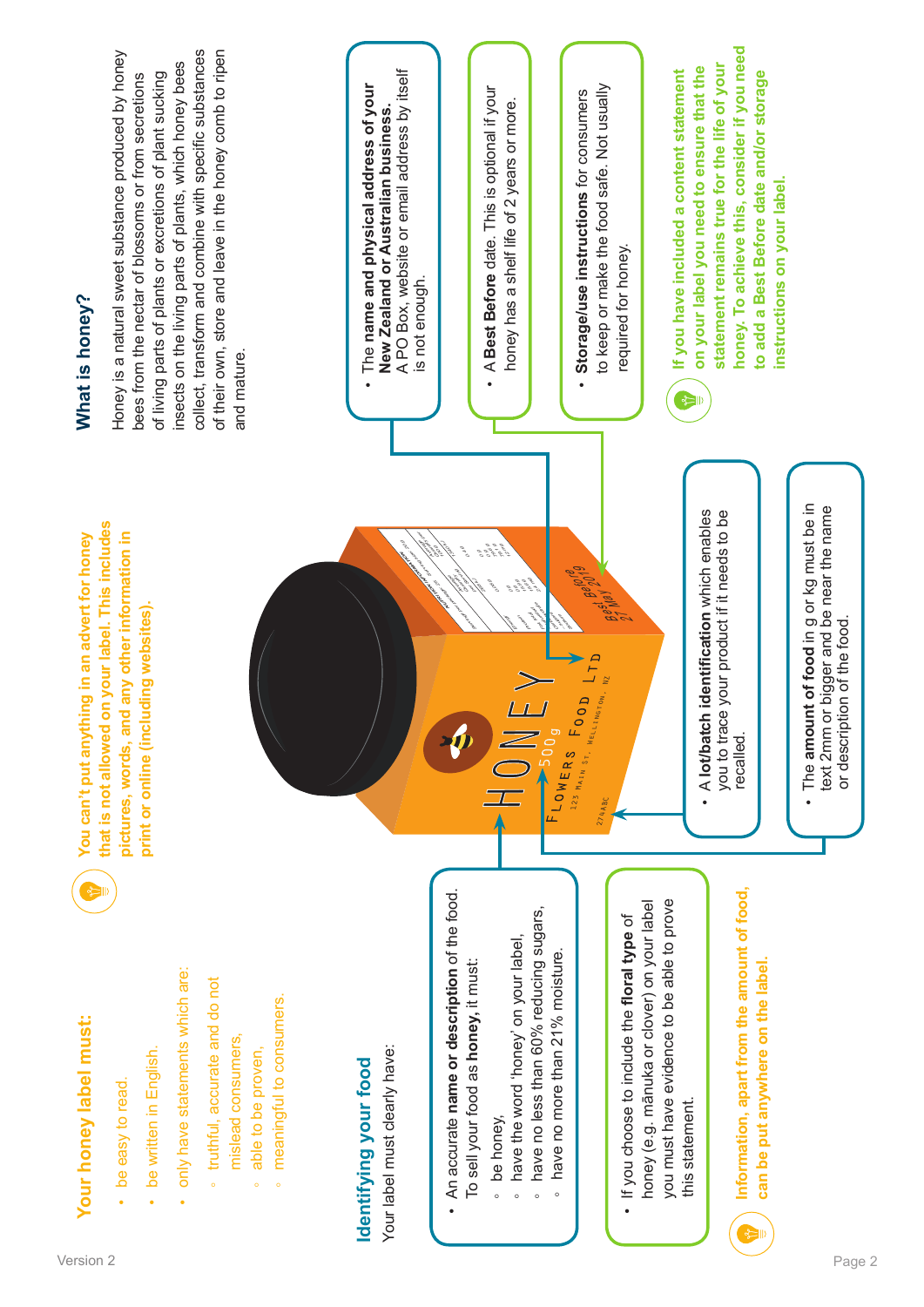| Version ∠ | $\sim$<br>Page ∠ |
|-----------|------------------|
|           |                  |

# Your honey label must:

- be easy to read. be easy to read.
- be written in English. be written in English. •
- only have statements which are: only have statements which are:
- ∘ truthful, accurate and do not truthful, accurate and do not mislead consumers. mislead consumers,
- able to be proven. able to be proven,
- meaningful to consumers. meaningful to consumers. ◦

# dentifying your food **Identifying your food**

Your label must clearly have: Your label must clearly have:

- An accurate name or description of the food. An accurate **name or description** of the food. To sell your food as honey, it must: To sell your food as **honey,** it must:
- be honey, be honey,
- have the word 'honey' on your label, have the word 'honey' on your label,
- ∘ have no less than 60% reducing sugars, have no less than 60% reducing sugars,
	- have no more than 21% moisture. have no more than 21% moisture.

 $FLOWERS FOOD L23$  Main St, Mellington, N

**Formalist Before**<br>Best Before<br>Best Before

274ABC

you must have evidence to be able to prove honey (e.g. mānuka or clover) on your label honey (e.g. mānuka or clover) on your label you must have evidence to be able to prove If you choose to include the **floral type** of • If you choose to include the floral type of this statement. this statement.



**Information, apart from the amount of food,**  Information, apart from the amount of food, can be put anywhere on the label. **can be put anywhere on the label.**

**that is not allowed on your label. This includes**  that is not allowed on your label. This includes You can't put anything in an advert for honey **Your honey label must: You can't put anything in an advert for honey**  pictures, words, and any other information in **pictures, words, and any other information in**  print or online (including websites). **print or online (including websites).**

## What is honey? **What is honey?**

collect, transform and combine with specific substances of their own, store and leave in the honey comb to ripen Honey is a natural sweet substance produced by honey collect, transform and combine with specific substances of their own, store and leave in the honey comb to ripen Honey is a natural sweet substance produced by honey insects on the living parts of plants, which honey bees insects on the living parts of plants, which honey bees bees from the nectar of blossoms or from secretions of living parts of plants or excretions of plant sucking of living parts of plants or excretions of plant sucking bees from the nectar of blossoms or from secretions and mature. and mature.

A PO Box, website or email address by itself A PO Box, website or email address by itself The **name and physical address of your**  The name and physical address of your New Zealand or Australian business. **New Zealand or Australian business.** is not enough. is not enough. •

**NUTRITION INFORMATION** 

Average Quantity per 19)<br>19)

Serving Services

Servings per package: 25

20

Energy

0 g 0 g 15.9 g 15.6 g ي.<br>ماهي

**Protection** 

Fat, total س میگردید.<br>مرگزارهای میگردید<br>مرگزارهای میگردید. Carbohydrate<br>Carbohydrate<br>Carbohydrate

Average<br>Average Quantity per Serving

0.4 g

1<br>13

78°<br>18

0 g  $\mathcal{E}$ 79.6 g 78.1 g 12 mg

0.08 g

- A **Best Before** date. This is optional if your • A Best Before date. This is optional if your honey has a shelf life of 2 years or more. honey has a shelf life of 2 years or more.
- to keep or make the food safe. Not usually to keep or make the food safe. Not usually Storage/use instructions for consumers **Storage/use instructions** for consumers required for honey. required for honey. •
- honey. To achieve this, consider if you need **honey. To achieve this, consider if you need statement remains true for the life of your**  statement remains true for the life of your on your label you need to ensure that the **on your label you need to ensure that the**  If you have included a content statement **If you have included a content statement to add a Best Before date and/or storage**  to add a Best Before date and/or storage instructions on your label. **instructions on your label.**

• A lot/batch identification which enables A **lot/batch identification** which enables you to trace your product if it needs to be you to trace your product if it needs to be<br>recalled.

 $\begin{picture}(20,20) \put(0,0){\line(1,0){10}} \put(15,0){\line(1,0){10}} \put(15,0){\line(1,0){10}} \put(15,0){\line(1,0){10}} \put(15,0){\line(1,0){10}} \put(15,0){\line(1,0){10}} \put(15,0){\line(1,0){10}} \put(15,0){\line(1,0){10}} \put(15,0){\line(1,0){10}} \put(15,0){\line(1,0){10}} \put(15,0){\line(1,0){10}} \put(15,0){\line(1$ 

• The amount of food in g or kg must be in<br>text 2mm or bigger and be near the name The **amount of food** in g or kg must be in text 2mm or bigger and be near the name

or description of the food.

or description of the food.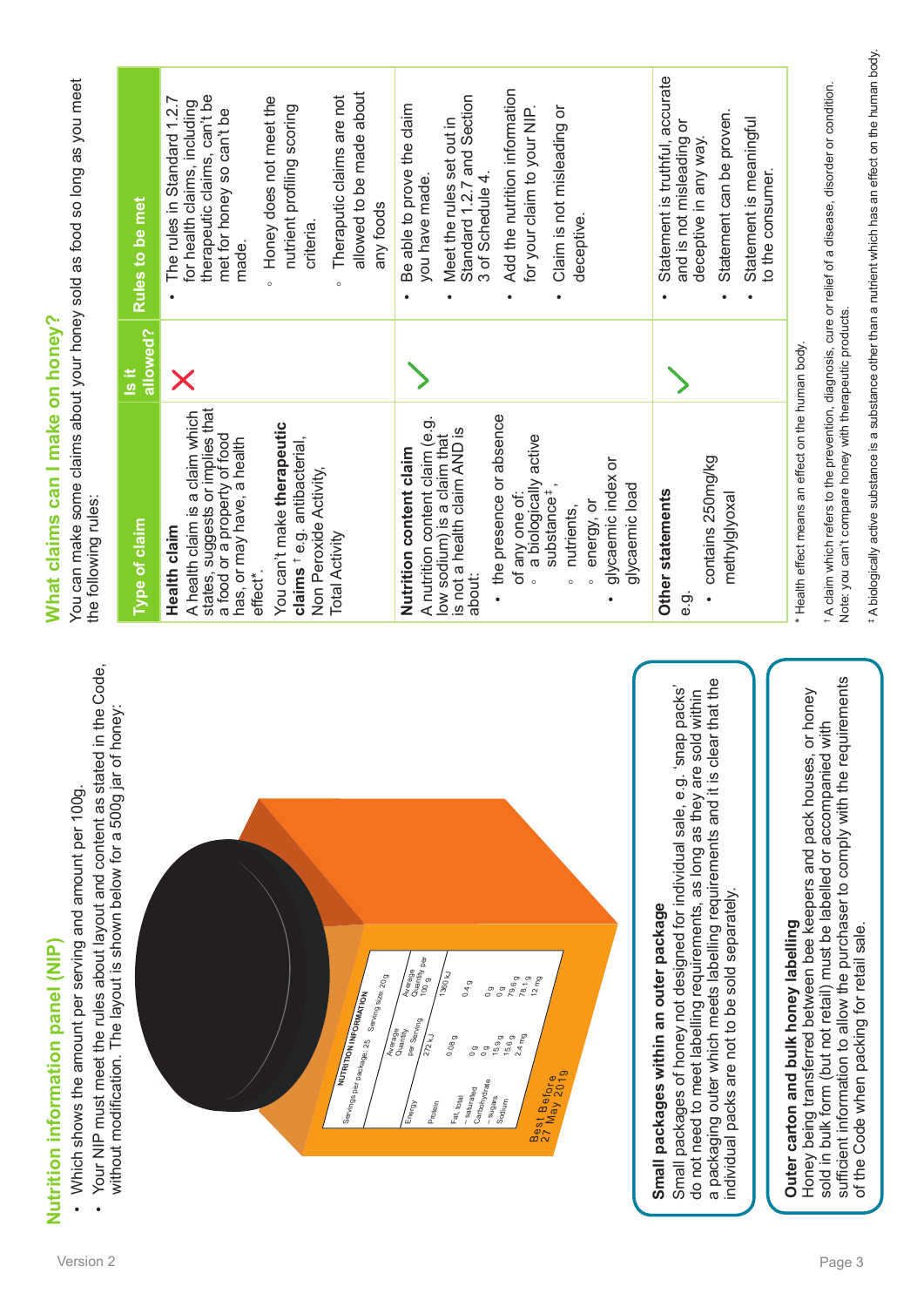| Your NIP must meet the rules about layout and content as stated in the Code,<br>Which shows the amount per serving and amount per 100g.<br>Nutrition information panel (NIP)<br>$\bullet$                                                                                                                                                                                                                                                                              | What claims can I make on honey?<br>the following rules:                                                                                                                                                                                                                                                                                |                            | You can make some claims about your honey sold as food so long as you meet                                                                                                                                                                                                              |  |
|------------------------------------------------------------------------------------------------------------------------------------------------------------------------------------------------------------------------------------------------------------------------------------------------------------------------------------------------------------------------------------------------------------------------------------------------------------------------|-----------------------------------------------------------------------------------------------------------------------------------------------------------------------------------------------------------------------------------------------------------------------------------------------------------------------------------------|----------------------------|-----------------------------------------------------------------------------------------------------------------------------------------------------------------------------------------------------------------------------------------------------------------------------------------|--|
| honey:<br>without modification. The layout is shown below for a 500g jar of                                                                                                                                                                                                                                                                                                                                                                                            | <b>Type of claim</b>                                                                                                                                                                                                                                                                                                                    | allowed?<br>$\frac{1}{15}$ | Rules to be met                                                                                                                                                                                                                                                                         |  |
| Santings per paradage: 25   Senting size: 20 g<br>NUTRITION INFORMATION                                                                                                                                                                                                                                                                                                                                                                                                | states, suggests or implies that<br>a food or a property of food<br>A health claim is a claim which<br>You can't make therapeutic<br>claims <sup>†</sup> e.g. antibacterial,<br>has, or may have, a health<br>Non Peroxide Activity,<br>Health claim<br><b>Total Activity</b><br>effect*.                                               | Х                          | allowed to be made about<br>therapeutic claims, can't be<br>Theraputic claims are not<br>Honey does not meet the<br>The rules in Standard 1.2.7<br>for health claims, including<br>nutrient profiling scoring<br>met for honey so can't be<br>any foods<br>criteria<br>made.<br>$\circ$ |  |
| Average<br>Quantity per<br>$\sqrt{\frac{3}{2}}$<br>78.1g<br>$12 \text{ mg}$<br>79.6g<br>0.4 g<br>$\circ$<br>$\circ$<br>Per Serving<br>Average<br>Quantity<br>$2.4 \text{ mg}$<br>$\frac{1}{2\pi}$<br>0.08 <sub>g</sub><br>15.9g<br>15.6 <sub>g</sub><br>$\circ$<br>$\circ$<br>Best Before<br>27 May 2019<br>Carbohydrate<br>-saturated<br>Fat, total<br>- <sup>sugars</sup><br>$\begin{aligned} \text{Sog} \end{aligned}$<br>$\frac{1}{\text{Prove}}$<br>ลิ้ง<br>เมื่อ | the presence or absence<br>A nutrition content claim (e.g.<br>low sodium) is a claim that<br>is not a health claim AND is<br>a biologically active<br>Nutrition content claim<br>glycaemic index or<br>glycaemic load<br>substance <sup>#</sup><br>of any one of<br>energy, or<br>nutrients,<br>about:<br>$\circ$<br>$\circ$<br>$\circ$ |                            | Add the nutrition information<br>Standard 1.2.7 and Section<br>Be able to prove the claim<br>Claim is not misleading or<br>for your claim to your NIP.<br>Meet the rules set out in<br>3 of Schedule 4.<br>you have made.<br>deceptive                                                  |  |
| a packaging outer which meets labelling requirements and it is clear that the<br>Small packages of honey not designed for individual sale, e.g. 'snap packs'<br>do not need to meet labelling requirements, as long as they are sold within<br>individual packs are not to be sold separately.<br>Small packages within an outer package                                                                                                                               | contains 250mg/kg<br>Other statements<br>methylglyoxal<br>Θ.<br>Θ                                                                                                                                                                                                                                                                       |                            | Statement is truthful, accurate<br>Statement can be proven.<br>Statement is meaningful<br>ŏ<br>and is not misleading<br>deceptive in any way.<br>to the consumer.                                                                                                                       |  |
| sufficient information to allow the purchaser to comply with the requirements<br>or honey<br>sold in bulk form (but not retail) must be labelled or accompanied with<br>Honey being transferred between bee keepers and pack houses,<br>Outer carton and bulk honey labelling                                                                                                                                                                                          | Note: you can't compare honey with therapeutic products.<br>* Health effect means an effect on the human body.                                                                                                                                                                                                                          |                            | * A claim which refers to the prevention, diagnosis, cure or relief of a disease, disorder or condition.                                                                                                                                                                                |  |

\*A biologically active substance is a substance other than a nutrient which has an effect on the human body. ‡ A biologically active substance is a substance other than a nutrient which has an effect on the human body.

Nutrition information panel (NIP)

What claims can I make on honey?

of the Code when packing for retail sale.

of the Code when packing for retail sale.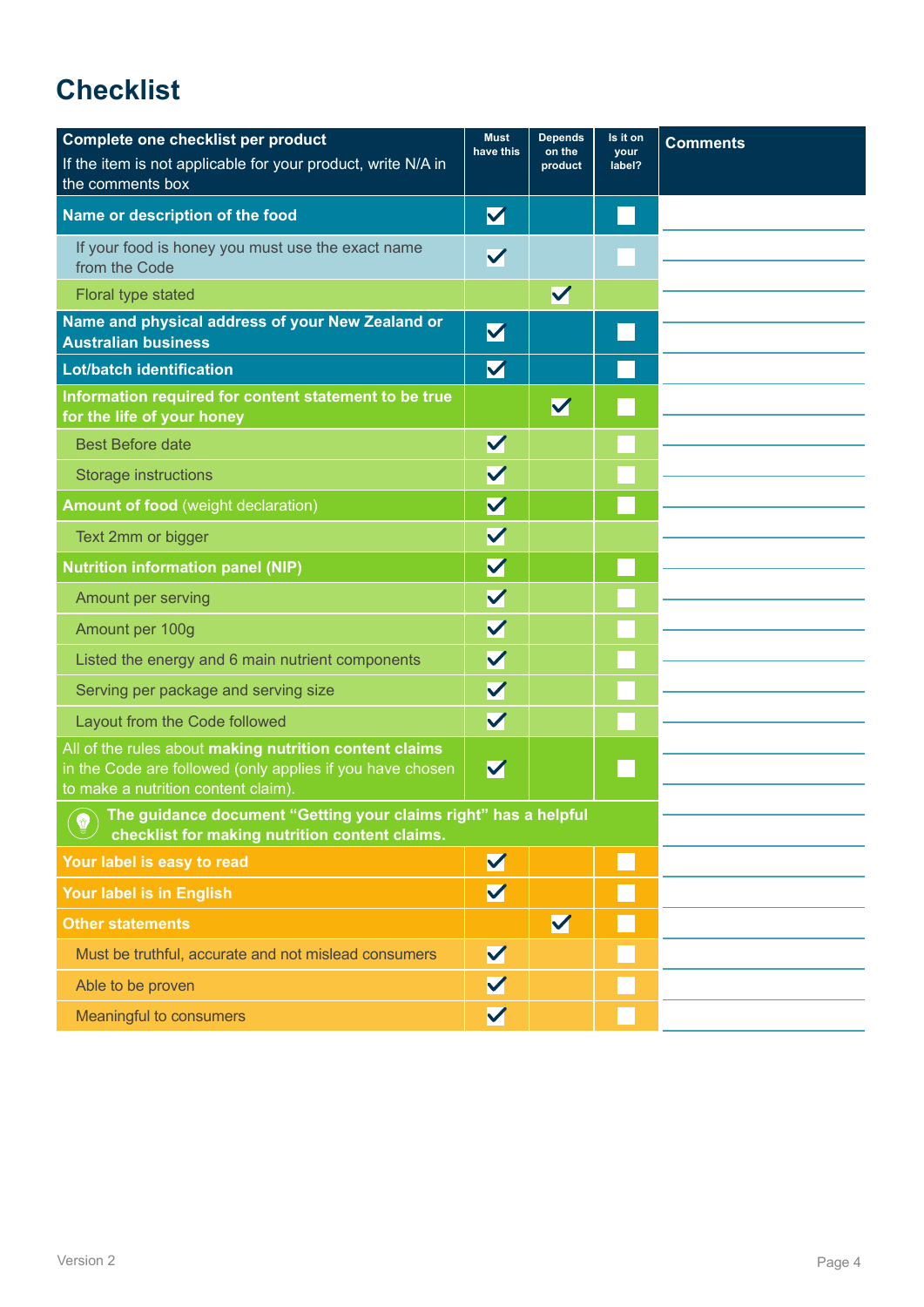## **Checklist**

| Complete one checklist per product                                                                                                                                                                                                                                               | <b>Must</b><br>have this | <b>Depends</b><br>on the | Is it on<br><b>your</b> | <b>Comments</b> |  |
|----------------------------------------------------------------------------------------------------------------------------------------------------------------------------------------------------------------------------------------------------------------------------------|--------------------------|--------------------------|-------------------------|-----------------|--|
| If the item is not applicable for your product, write N/A in<br>the comments box                                                                                                                                                                                                 |                          | product                  | label?                  |                 |  |
| Name or description of the food                                                                                                                                                                                                                                                  | $\blacktriangledown$     |                          |                         |                 |  |
| If your food is honey you must use the exact name<br>from the Code                                                                                                                                                                                                               | $\blacktriangledown$     |                          |                         |                 |  |
| Floral type stated                                                                                                                                                                                                                                                               |                          | V                        |                         |                 |  |
| Name and physical address of your New Zealand or<br><b>Australian business</b>                                                                                                                                                                                                   | $\blacktriangledown$     |                          |                         |                 |  |
| <b>Lot/batch identification</b>                                                                                                                                                                                                                                                  | $\blacktriangledown$     |                          |                         |                 |  |
| Information required for content statement to be true<br>for the life of your honey                                                                                                                                                                                              |                          | $\blacktriangledown$     |                         |                 |  |
| <b>Best Before date</b>                                                                                                                                                                                                                                                          | $\blacktriangledown$     |                          |                         |                 |  |
| <b>Storage instructions</b>                                                                                                                                                                                                                                                      | $\blacktriangledown$     |                          |                         |                 |  |
| <b>Amount of food (weight declaration)</b>                                                                                                                                                                                                                                       | $\blacktriangledown$     |                          |                         |                 |  |
| Text 2mm or bigger                                                                                                                                                                                                                                                               | $\blacktriangledown$     |                          |                         |                 |  |
| <b>Nutrition information panel (NIP)</b>                                                                                                                                                                                                                                         | $\blacktriangledown$     |                          |                         |                 |  |
| Amount per serving                                                                                                                                                                                                                                                               | $\blacktriangledown$     |                          |                         |                 |  |
| Amount per 100g                                                                                                                                                                                                                                                                  | $\overline{\mathsf{v}}$  |                          |                         |                 |  |
| Listed the energy and 6 main nutrient components                                                                                                                                                                                                                                 | $\blacktriangledown$     |                          |                         |                 |  |
| Serving per package and serving size                                                                                                                                                                                                                                             | $\blacktriangledown$     |                          |                         |                 |  |
| Layout from the Code followed                                                                                                                                                                                                                                                    | $\overline{\mathsf{v}}$  |                          |                         |                 |  |
| All of the rules about making nutrition content claims<br>in the Code are followed (only applies if you have chosen<br>to make a nutrition content claim).                                                                                                                       | $\blacktriangledown$     |                          |                         |                 |  |
| The guidance document "Getting your claims right" has a helpful checklist for making puttition on the state of the state of the state of the state of the state of the state of the state of the state of the state of the sta<br>checklist for making nutrition content claims. |                          |                          |                         |                 |  |
| Your label is easy to read                                                                                                                                                                                                                                                       | $\blacktriangledown$     |                          |                         |                 |  |
| Your label is in English                                                                                                                                                                                                                                                         | $\blacktriangledown$     |                          |                         |                 |  |
| <b>Other statements</b>                                                                                                                                                                                                                                                          |                          | $\blacktriangledown$     |                         |                 |  |
| Must be truthful, accurate and not mislead consumers                                                                                                                                                                                                                             | $\blacktriangledown$     |                          |                         |                 |  |
| Able to be proven                                                                                                                                                                                                                                                                | $\blacktriangledown$     |                          |                         |                 |  |
| Meaningful to consumers                                                                                                                                                                                                                                                          | $\blacktriangledown$     |                          |                         |                 |  |